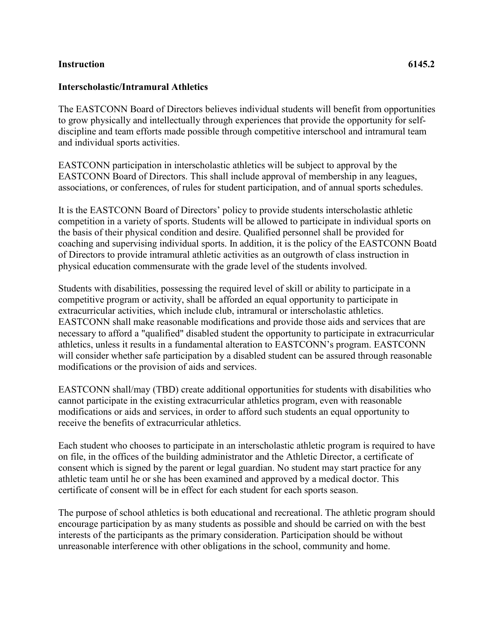## **Instruction 6145.2**

## **Interscholastic/Intramural Athletics**

The EASTCONN Board of Directors believes individual students will benefit from opportunities to grow physically and intellectually through experiences that provide the opportunity for selfdiscipline and team efforts made possible through competitive interschool and intramural team and individual sports activities.

EASTCONN participation in interscholastic athletics will be subject to approval by the EASTCONN Board of Directors. This shall include approval of membership in any leagues, associations, or conferences, of rules for student participation, and of annual sports schedules.

It is the EASTCONN Board of Directors' policy to provide students interscholastic athletic competition in a variety of sports. Students will be allowed to participate in individual sports on the basis of their physical condition and desire. Qualified personnel shall be provided for coaching and supervising individual sports. In addition, it is the policy of the EASTCONN Boatd of Directors to provide intramural athletic activities as an outgrowth of class instruction in physical education commensurate with the grade level of the students involved.

Students with disabilities, possessing the required level of skill or ability to participate in a competitive program or activity, shall be afforded an equal opportunity to participate in extracurricular activities, which include club, intramural or interscholastic athletics. EASTCONN shall make reasonable modifications and provide those aids and services that are necessary to afford a "qualified" disabled student the opportunity to participate in extracurricular athletics, unless it results in a fundamental alteration to EASTCONN's program. EASTCONN will consider whether safe participation by a disabled student can be assured through reasonable modifications or the provision of aids and services.

EASTCONN shall/may (TBD) create additional opportunities for students with disabilities who cannot participate in the existing extracurricular athletics program, even with reasonable modifications or aids and services, in order to afford such students an equal opportunity to receive the benefits of extracurricular athletics.

Each student who chooses to participate in an interscholastic athletic program is required to have on file, in the offices of the building administrator and the Athletic Director, a certificate of consent which is signed by the parent or legal guardian. No student may start practice for any athletic team until he or she has been examined and approved by a medical doctor. This certificate of consent will be in effect for each student for each sports season.

The purpose of school athletics is both educational and recreational. The athletic program should encourage participation by as many students as possible and should be carried on with the best interests of the participants as the primary consideration. Participation should be without unreasonable interference with other obligations in the school, community and home.